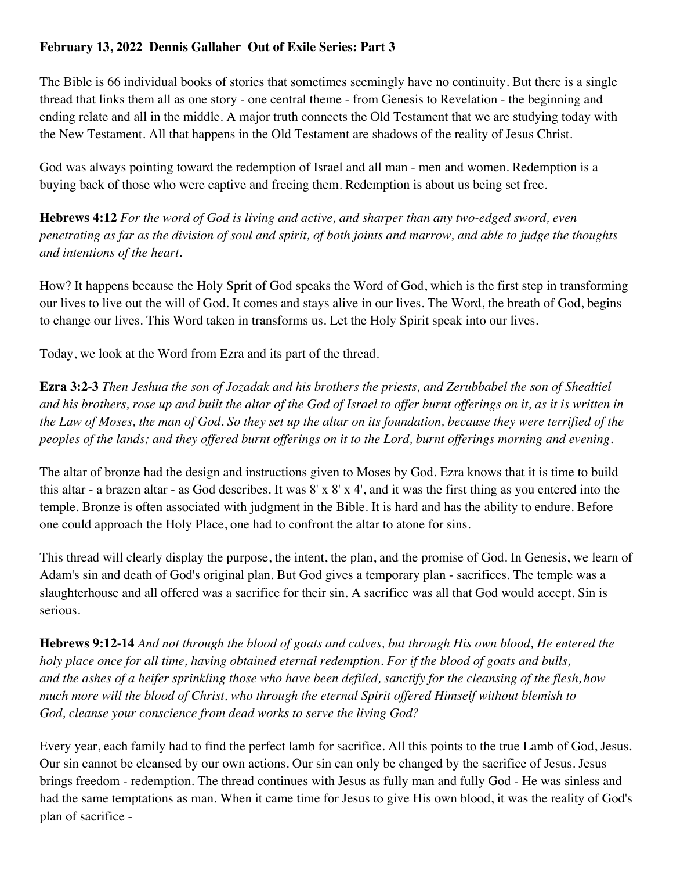The Bible is 66 individual books of stories that sometimes seemingly have no continuity. But there is a single thread that links them all as one story - one central theme - from Genesis to Revelation - the beginning and ending relate and all in the middle. A major truth connects the Old Testament that we are studying today with the New Testament. All that happens in the Old Testament are shadows of the reality of Jesus Christ.

God was always pointing toward the redemption of Israel and all man - men and women. Redemption is a buying back of those who were captive and freeing them. Redemption is about us being set free.

**Hebrews 4:12** *For the word of God is living and active, and sharper than any two-edged sword, even penetrating as far as the division of soul and spirit, of both joints and marrow, and able to judge the thoughts and intentions of the heart.*

How? It happens because the Holy Sprit of God speaks the Word of God, which is the first step in transforming our lives to live out the will of God. It comes and stays alive in our lives. The Word, the breath of God, begins to change our lives. This Word taken in transforms us. Let the Holy Spirit speak into our lives.

Today, we look at the Word from Ezra and its part of the thread.

**Ezra 3:2-3** *Then Jeshua the son of Jozadak and his brothers the priests, and Zerubbabel the son of Shealtiel and his brothers, rose up and built the altar of the God of Israel to offer burnt offerings on it, as it is written in the Law of Moses, the man of God. So they set up the altar on its foundation, because they were terrified of the peoples of the lands; and they offered burnt offerings on it to the Lord, burnt offerings morning and evening.*

The altar of bronze had the design and instructions given to Moses by God. Ezra knows that it is time to build this altar - a brazen altar - as God describes. It was 8' x 8' x 4', and it was the first thing as you entered into the temple. Bronze is often associated with judgment in the Bible. It is hard and has the ability to endure. Before one could approach the Holy Place, one had to confront the altar to atone for sins.

This thread will clearly display the purpose, the intent, the plan, and the promise of God. In Genesis, we learn of Adam's sin and death of God's original plan. But God gives a temporary plan - sacrifices. The temple was a slaughterhouse and all offered was a sacrifice for their sin. A sacrifice was all that God would accept. Sin is serious.

**Hebrews 9:12-14** *And not through the blood of goats and calves, but through His own blood, He entered the holy place once for all time, having obtained eternal redemption. For if the blood of goats and bulls, and the ashes of a heifer sprinkling those who have been defiled, sanctify for the cleansing of the flesh, how much more will the blood of Christ, who through the eternal Spirit offered Himself without blemish to God, cleanse your conscience from dead works to serve the living God?*

Every year, each family had to find the perfect lamb for sacrifice. All this points to the true Lamb of God, Jesus. Our sin cannot be cleansed by our own actions. Our sin can only be changed by the sacrifice of Jesus. Jesus brings freedom - redemption. The thread continues with Jesus as fully man and fully God - He was sinless and had the same temptations as man. When it came time for Jesus to give His own blood, it was the reality of God's plan of sacrifice -